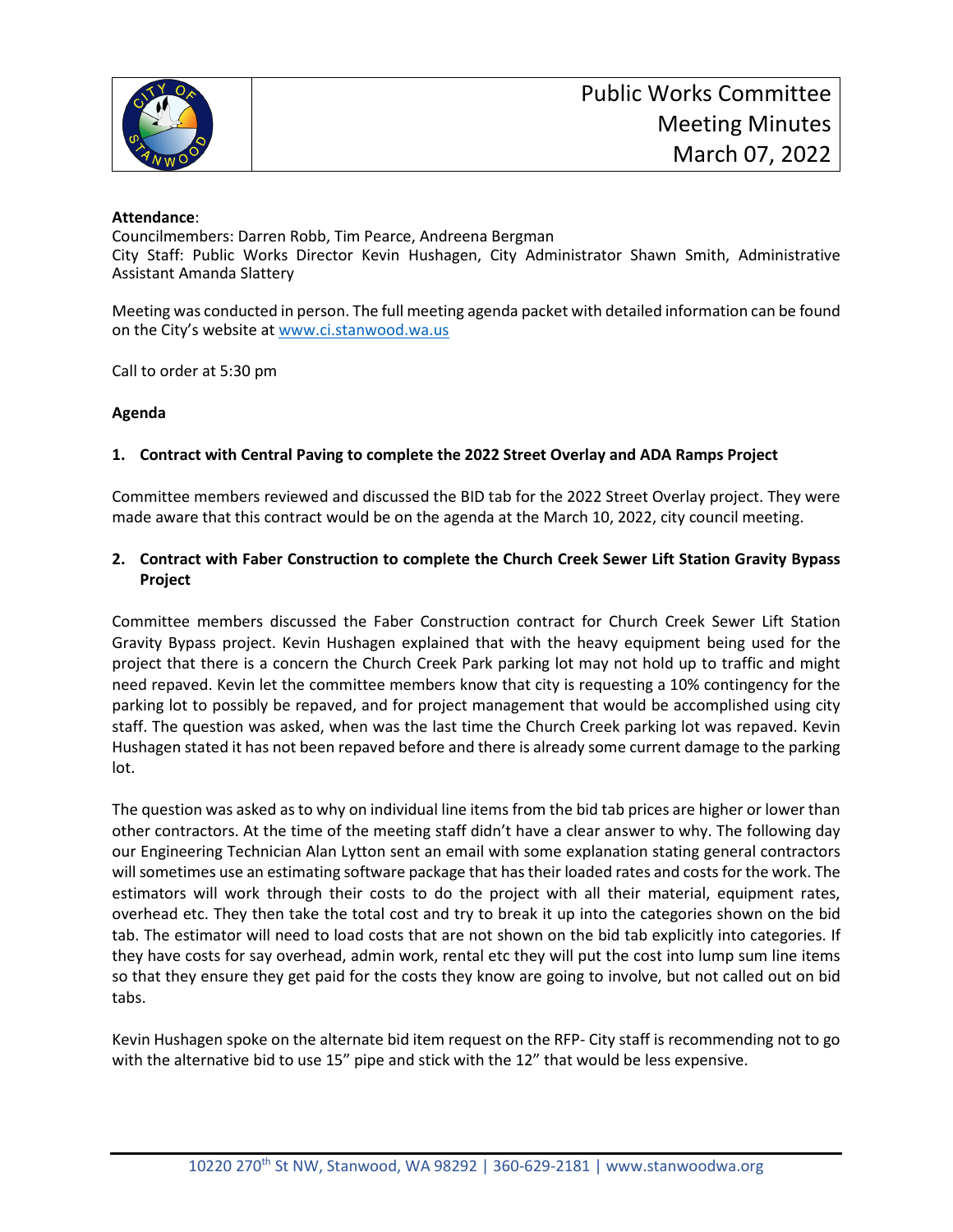

## **Attendance**:

Councilmembers: Darren Robb, Tim Pearce, Andreena Bergman City Staff: Public Works Director Kevin Hushagen, City Administrator Shawn Smith, Administrative Assistant Amanda Slattery

Meeting was conducted in person. The full meeting agenda packet with detailed information can be found on the City's website at [www.ci.stanwood.wa.us](http://www.ci.stanwood.wa.us/)

Call to order at 5:30 pm

## **Agenda**

## **1. Contract with Central Paving to complete the 2022 Street Overlay and ADA Ramps Project**

Committee members reviewed and discussed the BID tab for the 2022 Street Overlay project. They were made aware that this contract would be on the agenda at the March 10, 2022, city council meeting.

# **2. Contract with Faber Construction to complete the Church Creek Sewer Lift Station Gravity Bypass Project**

Committee members discussed the Faber Construction contract for Church Creek Sewer Lift Station Gravity Bypass project. Kevin Hushagen explained that with the heavy equipment being used for the project that there is a concern the Church Creek Park parking lot may not hold up to traffic and might need repaved. Kevin let the committee members know that city is requesting a 10% contingency for the parking lot to possibly be repaved, and for project management that would be accomplished using city staff. The question was asked, when was the last time the Church Creek parking lot was repaved. Kevin Hushagen stated it has not been repaved before and there is already some current damage to the parking lot.

The question was asked as to why on individual line items from the bid tab prices are higher or lower than other contractors. At the time of the meeting staff didn't have a clear answer to why. The following day our Engineering Technician Alan Lytton sent an email with some explanation stating general contractors will sometimes use an estimating software package that has their loaded rates and costs for the work. The estimators will work through their costs to do the project with all their material, equipment rates, overhead etc. They then take the total cost and try to break it up into the categories shown on the bid tab. The estimator will need to load costs that are not shown on the bid tab explicitly into categories. If they have costs for say overhead, admin work, rental etc they will put the cost into lump sum line items so that they ensure they get paid for the costs they know are going to involve, but not called out on bid tabs.

Kevin Hushagen spoke on the alternate bid item request on the RFP- City staff is recommending not to go with the alternative bid to use 15" pipe and stick with the 12" that would be less expensive.